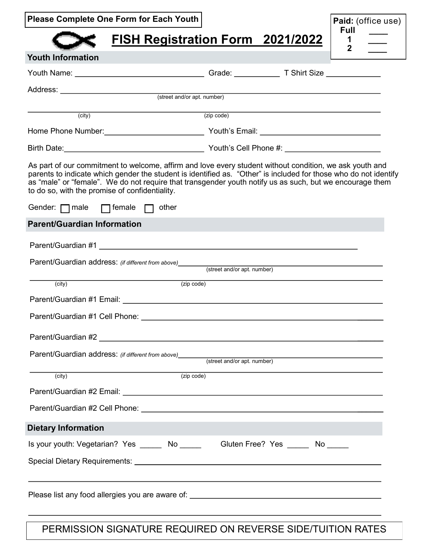|  |  | <b>Please Complete One Form for Each Youth</b> |
|--|--|------------------------------------------------|
|--|--|------------------------------------------------|

# **FISH Registration Form 2021/2022**

| Paid: (office use) |  |
|--------------------|--|
| Full               |  |
|                    |  |
| 2                  |  |

| <b>Youth Information</b>                                                                                                                                                                                                                                                                                                                                                                  |                             |  |
|-------------------------------------------------------------------------------------------------------------------------------------------------------------------------------------------------------------------------------------------------------------------------------------------------------------------------------------------------------------------------------------------|-----------------------------|--|
|                                                                                                                                                                                                                                                                                                                                                                                           |                             |  |
|                                                                                                                                                                                                                                                                                                                                                                                           |                             |  |
|                                                                                                                                                                                                                                                                                                                                                                                           |                             |  |
| (city)                                                                                                                                                                                                                                                                                                                                                                                    | (zip code)                  |  |
|                                                                                                                                                                                                                                                                                                                                                                                           |                             |  |
|                                                                                                                                                                                                                                                                                                                                                                                           |                             |  |
| As part of our commitment to welcome, affirm and love every student without condition, we ask youth and<br>parents to indicate which gender the student is identified as. "Other" is included for those who do not identify<br>as "male" or "female". We do not require that transgender youth notify us as such, but we encourage them<br>to do so, with the promise of confidentiality. |                             |  |
| $\Box$ female $\Box$ other<br>Gender: $\Box$ male                                                                                                                                                                                                                                                                                                                                         |                             |  |
| <b>Parent/Guardian Information</b>                                                                                                                                                                                                                                                                                                                                                        |                             |  |
|                                                                                                                                                                                                                                                                                                                                                                                           |                             |  |
| Parent/Guardian address: (if different from above) (street and/or apt. number)                                                                                                                                                                                                                                                                                                            |                             |  |
| (zip code)<br>(city)                                                                                                                                                                                                                                                                                                                                                                      |                             |  |
|                                                                                                                                                                                                                                                                                                                                                                                           |                             |  |
|                                                                                                                                                                                                                                                                                                                                                                                           |                             |  |
|                                                                                                                                                                                                                                                                                                                                                                                           |                             |  |
| Parent/Guardian address: (if different from above)                                                                                                                                                                                                                                                                                                                                        | (street and/or apt. number) |  |
| (zip code)<br>(city)                                                                                                                                                                                                                                                                                                                                                                      |                             |  |
|                                                                                                                                                                                                                                                                                                                                                                                           |                             |  |
|                                                                                                                                                                                                                                                                                                                                                                                           |                             |  |
|                                                                                                                                                                                                                                                                                                                                                                                           |                             |  |
| <b>Dietary Information</b>                                                                                                                                                                                                                                                                                                                                                                |                             |  |
| Is your youth: Vegetarian? Yes ______ No ______ Gluten Free? Yes _____ No _____                                                                                                                                                                                                                                                                                                           |                             |  |
|                                                                                                                                                                                                                                                                                                                                                                                           |                             |  |
|                                                                                                                                                                                                                                                                                                                                                                                           |                             |  |
|                                                                                                                                                                                                                                                                                                                                                                                           |                             |  |

PERMISSION SIGNATURE REQUIRED ON REVERSE SIDE/TUITION RATES